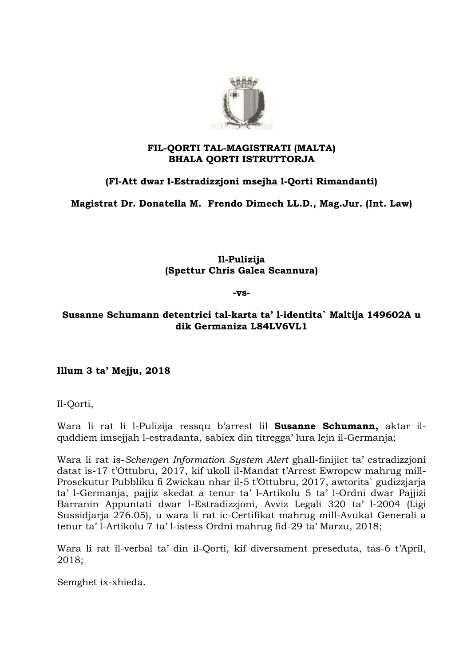

## **FIL-QORTI TAL-MAGISTRATI (MALTA) BHALA QORTI ISTRUTTORJA**

# **(Fl-Att dwar l-Estradizzjoni msejha l-Qorti Rimandanti)**

**Magistrat Dr. Donatella M. Frendo Dimech LL.D., Mag.Jur. (Int. Law)**

**Il-Pulizija (Spettur Chris Galea Scannura)**

#### **-vs-**

## **Susanne Schumann detentrici tal-karta ta' l-identita` Maltija 149602A u dik Germaniza L84LV6VL1**

**Illum 3 ta' Mejju, 2018**

Il-Qorti,

Wara li rat li l-Pulizija ressqu b'arrest lil **Susanne Schumann,** aktar ilquddiem imsejjah l-estradanta, sabiex din titregga' lura lejn il-Germanja;

Wara li rat is-*Schengen Information System Alert* ghall-finijiet ta' estradizzjoni datat is-17 t'Ottubru, 2017, kif ukoll il-Mandat t'Arrest Ewropew mahrug mill-Prosekutur Pubbliku fi Zwickau nhar il-5 t'Ottubru, 2017, awtorita` gudizzjarja ta' l-Germanja, pajjiz skedat a tenur ta' l-Artikolu 5 ta' l-Ordni dwar Pajjiżi Barranin Appuntati dwar l-Estradizzjoni, Avviz Legali 320 ta' l-2004 (Ligi Sussidjarja 276.05), u wara li rat ic-Certifikat mahrug mill-Avukat Generali a tenur ta' l-Artikolu 7 ta' l-istess Ordni mahrug fid-29 ta' Marzu, 2018;

Wara li rat il-verbal ta' din il-Qorti, kif diversament preseduta, tas-6 t'April, 2018;

Semghet ix-xhieda.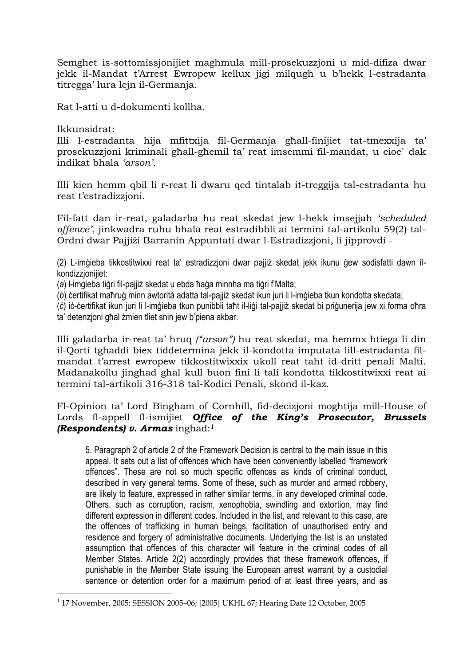Semghet is-sottomissjonijiet maghmula mill-prosekuzzjoni u mid-difiza dwar jekk il-Mandat t'Arrest Ewropew kellux jigi milqugh u b'hekk l-estradanta titregga' lura lejn il-Germanja.

Rat l-atti u d-dokumenti kollha.

Ikkunsidrat:

<u>.</u>

Illi l-estradanta hija mfittxija fil-Germanja għall-finijiet tat-tmexxija ta' prosekuzzjoni kriminali għall-għemil ta' reat imsemmi fil-mandat, u cioe` dak indikat bhala *'arson'*.

Illi kien hemm qbil li r-reat li dwaru qed tintalab it-treggija tal-estradanta hu reat t'estradizzjoni.

Fil-fatt dan ir-reat, galadarba hu reat skedat jew l-hekk imsejjah *'scheduled offence'*, jinkwadra ruhu bhala reat estradibbli ai termini tal-artikolu 59(2) tal-Ordni dwar Pajjiżi Barranin Appuntati dwar l-Estradizzjoni, li jipprovdi -

(2) L-imġieba tikkostitwixxi reat ta' estradizzjoni dwar pajjiż skedat jekk ikunu ġew sodisfatti dawn ilkondizzioniijet:

(*a*) l-imgieba tiġri fil-pajjiż skedat u ebda ħaġa minnha ma tiġri f'Malta;

(*b*) ċertifikat maħruġ minn awtorità adatta tal-pajjiż skedat ikun juri li l-imġieba tkun kondotta skedata;

(*ċ*) iċ-ċertifikat ikun juri li l-imġieba tkun punibbli taħt il-liġi tal-pajjiż skedat bi priġunerija jew xi forma oħra ta' detenzjoni għal żmien tliet snin jew b'piena akbar.

Illi galadarba ir-reat ta' hruq *("arson")* hu reat skedat, ma hemmx htiega li din il-Qorti tghaddi biex tiddetermina jekk il-kondotta imputata lill-estradanta filmandat t'arrest ewropew tikkostitwixxix ukoll reat taht id-dritt penali Malti. Madanakollu jinghad ghal kull buon fini li tali kondotta tikkostitwixxi reat ai termini tal-artikoli 316-318 tal-Kodici Penali, skond il-kaz.

## Fl-Opinion ta' Lord Bingham of Cornhill, fid-decizjoni moghtija mill-House of Lords fl-appell fl-ismijiet *Office of the King's Prosecutor, Brussels (Respondents) v. Armas* inghad:<sup>1</sup>

5. Paragraph 2 of article 2 of the Framework Decision is central to the main issue in this appeal. It sets out a list of offences which have been conveniently labelled "framework offences". These are not so much specific offences as kinds of criminal conduct, described in very general terms. Some of these, such as murder and armed robbery, are likely to feature, expressed in rather similar terms, in any developed criminal code. Others, such as corruption, racism, xenophobia, swindling and extortion, may find different expression in different codes. Included in the list, and relevant to this case, are the offences of trafficking in human beings, facilitation of unauthorised entry and residence and forgery of administrative documents. Underlying the list is an unstated assumption that offences of this character will feature in the criminal codes of all Member States. Article 2(2) accordingly provides that these framework offences, if punishable in the Member State issuing the European arrest warrant by a custodial sentence or detention order for a maximum period of at least three years, and as

<sup>1</sup> 17 November, 2005; SESSION 2005–06; [2005] UKHL 67; Hearing Date 12 October, 2005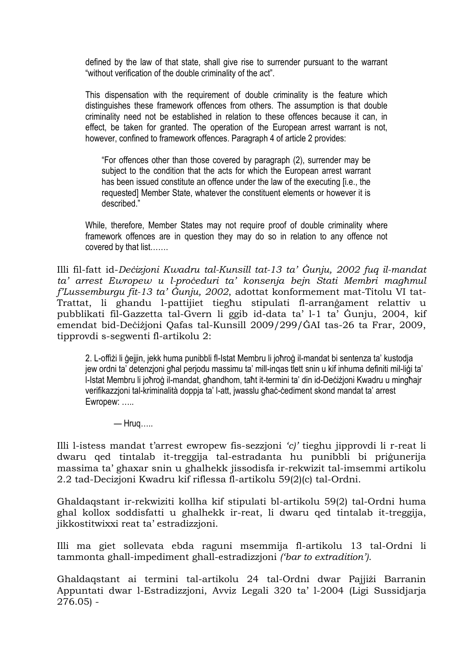defined by the law of that state, shall give rise to surrender pursuant to the warrant "without verification of the double criminality of the act".

This dispensation with the requirement of double criminality is the feature which distinguishes these framework offences from others. The assumption is that double criminality need not be established in relation to these offences because it can, in effect, be taken for granted. The operation of the European arrest warrant is not, however, confined to framework offences. Paragraph 4 of article 2 provides:

"For offences other than those covered by paragraph (2), surrender may be subject to the condition that the acts for which the European arrest warrant has been issued constitute an offence under the law of the executing [i.e., the requested] Member State, whatever the constituent elements or however it is described."

While, therefore, Member States may not require proof of double criminality where framework offences are in question they may do so in relation to any offence not covered by that list…….

Illi fil-fatt id-*Deċizjoni Kwadru tal-Kunsill tat-13 ta' Ġunju, 2002 fuq il-mandat ta' arrest Ewropew u l-proċeduri ta' konsenja bejn Stati Membri magħmul f'Lussemburgu fit-13 ta' Ġunju, 2002*, adottat konformement mat-Titolu VI tat-Trattat, li ghandu l-pattijiet tiegħu stipulati fl-arranġament relattiv u pubblikati fil-Gazzetta tal-Gvern li ggib id-data ta' l-1 ta' Ġunju, 2004, kif emendat bid-Deċiżjoni Qafas tal-Kunsill 2009/299/ĠAI tas-26 ta Frar, 2009, tipprovdi s-segwenti fl-artikolu 2:

2. L-offiżi li ġejjin, jekk huma punibbli fl-Istat Membru li joħroġ il-mandat bi sentenza ta' kustodja jew ordni ta' detenzjoni għal perjodu massimu ta' mill-inqas tlett snin u kif inhuma definiti mil-liġi ta' l-Istat Membru li joħroġ il-mandat, għandhom, taħt it-termini ta' din id-Deċiżjoni Kwadru u mingħajr verifikazzjoni tal-kriminalità doppja ta' l-att, jwasslu għaċ-ċediment skond mandat ta' arrest Ewropew: …..

 $-$  Hrug…..

Illi l-istess mandat t'arrest ewropew fis-sezzjoni *'c)'* tieghu jipprovdi li r-reat li dwaru qed tintalab it-treggija tal-estradanta hu punibbli bi priġunerija massima ta' ghaxar snin u ghalhekk jissodisfa ir-rekwizit tal-imsemmi artikolu 2.2 tad-Decizjoni Kwadru kif riflessa fl-artikolu 59(2)(c) tal-Ordni.

Ghaldaqstant ir-rekwiziti kollha kif stipulati bl-artikolu 59(2) tal-Ordni huma ghal kollox soddisfatti u ghalhekk ir-reat, li dwaru qed tintalab it-treggija, jikkostitwixxi reat ta' estradizzjoni.

Illi ma giet sollevata ebda raguni msemmija fl-artikolu 13 tal-Ordni li tammonta ghall-impediment ghall-estradizzjoni *('bar to extradition')*.

Ghaldaqstant ai termini tal-artikolu 24 tal-Ordni dwar Pajjiżi Barranin Appuntati dwar l-Estradizzjoni, Avviz Legali 320 ta' l-2004 (Ligi Sussidjarja 276.05) -